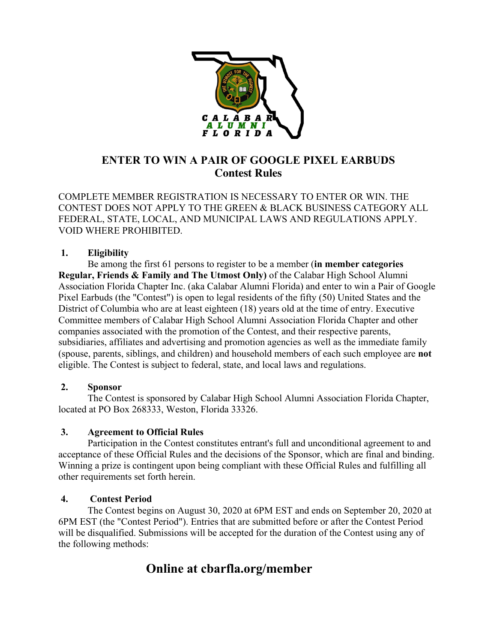

# **ENTER TO WIN A PAIR OF GOOGLE PIXEL EARBUDS Contest Rules**

COMPLETE MEMBER REGISTRATION IS NECESSARY TO ENTER OR WIN. THE CONTEST DOES NOT APPLY TO THE GREEN & BLACK BUSINESS CATEGORY ALL FEDERAL, STATE, LOCAL, AND MUNICIPAL LAWS AND REGULATIONS APPLY. VOID WHERE PROHIBITED.

## **1. Eligibility**

Be among the first 61 persons to register to be a member (**in member categories Regular, Friends & Family and The Utmost Only)** of the Calabar High School Alumni Association Florida Chapter Inc. (aka Calabar Alumni Florida) and enter to win a Pair of Google Pixel Earbuds (the "Contest") is open to legal residents of the fifty (50) United States and the District of Columbia who are at least eighteen (18) years old at the time of entry. Executive Committee members of Calabar High School Alumni Association Florida Chapter and other companies associated with the promotion of the Contest, and their respective parents, subsidiaries, affiliates and advertising and promotion agencies as well as the immediate family (spouse, parents, siblings, and children) and household members of each such employee are **not** eligible. The Contest is subject to federal, state, and local laws and regulations.

### **2. Sponsor**

The Contest is sponsored by Calabar High School Alumni Association Florida Chapter, located at PO Box 268333, Weston, Florida 33326.

### **3. Agreement to Official Rules**

Participation in the Contest constitutes entrant's full and unconditional agreement to and acceptance of these Official Rules and the decisions of the Sponsor, which are final and binding. Winning a prize is contingent upon being compliant with these Official Rules and fulfilling all other requirements set forth herein.

### **4. Contest Period**

The Contest begins on August 30, 2020 at 6PM EST and ends on September 20, 2020 at 6PM EST (the "Contest Period"). Entries that are submitted before or after the Contest Period will be disqualified. Submissions will be accepted for the duration of the Contest using any of the following methods:

# **Online at cbarfla.org/member**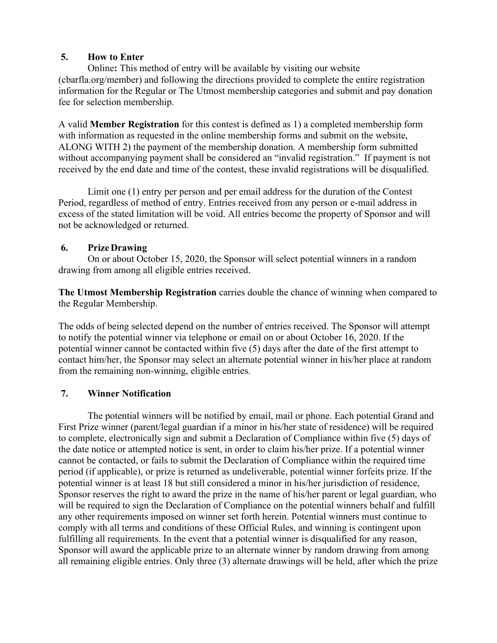#### **5. How to Enter**

Online**:** This method of entry will be available by visiting our website (cbarfla.org/member) and following the directions provided to complete the entire registration information for the Regular or The Utmost membership categories and submit and pay donation fee for selection membership.

A valid **Member Registration** for this contest is defined as 1) a completed membership form with information as requested in the online membership forms and submit on the website, ALONG WITH 2) the payment of the membership donation. A membership form submitted without accompanying payment shall be considered an "invalid registration." If payment is not received by the end date and time of the contest, these invalid registrations will be disqualified.

Limit one (1) entry per person and per email address for the duration of the Contest Period, regardless of method of entry. Entries received from any person or e-mail address in excess of the stated limitation will be void. All entries become the property of Sponsor and will not be acknowledged or returned.

### **6. Prize Drawing**

On or about October 15, 2020, the Sponsor will select potential winners in a random drawing from among all eligible entries received.

**The Utmost Membership Registration** carries double the chance of winning when compared to the Regular Membership.

The odds of being selected depend on the number of entries received. The Sponsor will attempt to notify the potential winner via telephone or email on or about October 16, 2020. If the potential winner cannot be contacted within five (5) days after the date of the first attempt to contact him/her, the Sponsor may select an alternate potential winner in his/her place at random from the remaining non-winning, eligible entries.

### **7. Winner Notification**

The potential winners will be notified by email, mail or phone. Each potential Grand and First Prize winner (parent/legal guardian if a minor in his/her state of residence) will be required to complete, electronically sign and submit a Declaration of Compliance within five (5) days of the date notice or attempted notice is sent, in order to claim his/her prize. If a potential winner cannot be contacted, or fails to submit the Declaration of Compliance within the required time period (if applicable), or prize is returned as undeliverable, potential winner forfeits prize. If the potential winner is at least 18 but still considered a minor in his/her jurisdiction of residence, Sponsor reserves the right to award the prize in the name of his/her parent or legal guardian, who will be required to sign the Declaration of Compliance on the potential winners behalf and fulfill any other requirements imposed on winner set forth herein. Potential winners must continue to comply with all terms and conditions of these Official Rules, and winning is contingent upon fulfilling all requirements. In the event that a potential winner is disqualified for any reason, Sponsor will award the applicable prize to an alternate winner by random drawing from among all remaining eligible entries. Only three (3) alternate drawings will be held, after which the prize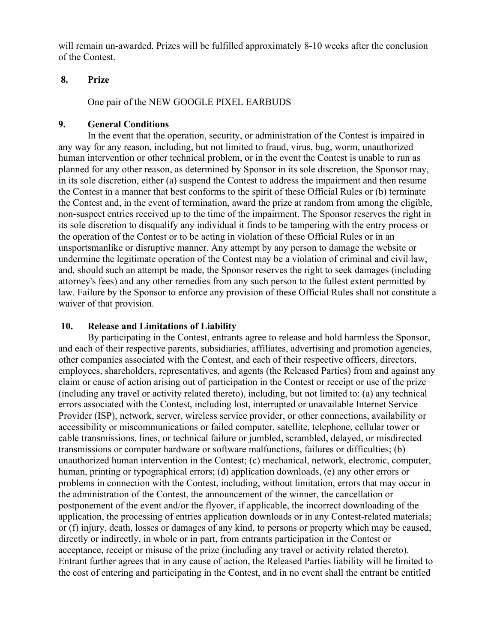will remain un-awarded. Prizes will be fulfilled approximately 8-10 weeks after the conclusion of the Contest.

#### **8. Prize**

One pair of the NEW GOOGLE PIXEL EARBUDS

#### **9. General Conditions**

In the event that the operation, security, or administration of the Contest is impaired in any way for any reason, including, but not limited to fraud, virus, bug, worm, unauthorized human intervention or other technical problem, or in the event the Contest is unable to run as planned for any other reason, as determined by Sponsor in its sole discretion, the Sponsor may, in its sole discretion, either (a) suspend the Contest to address the impairment and then resume the Contest in a manner that best conforms to the spirit of these Official Rules or (b) terminate the Contest and, in the event of termination, award the prize at random from among the eligible, non-suspect entries received up to the time of the impairment. The Sponsor reserves the right in its sole discretion to disqualify any individual it finds to be tampering with the entry process or the operation of the Contest or to be acting in violation of these Official Rules or in an unsportsmanlike or disruptive manner. Any attempt by any person to damage the website or undermine the legitimate operation of the Contest may be a violation of criminal and civil law, and, should such an attempt be made, the Sponsor reserves the right to seek damages (including attorney's fees) and any other remedies from any such person to the fullest extent permitted by law. Failure by the Sponsor to enforce any provision of these Official Rules shall not constitute a waiver of that provision.

#### **10. Release and Limitations of Liability**

By participating in the Contest, entrants agree to release and hold harmless the Sponsor, and each of their respective parents, subsidiaries, affiliates, advertising and promotion agencies, other companies associated with the Contest, and each of their respective officers, directors, employees, shareholders, representatives, and agents (the Released Parties) from and against any claim or cause of action arising out of participation in the Contest or receipt or use of the prize (including any travel or activity related thereto), including, but not limited to: (a) any technical errors associated with the Contest, including lost, interrupted or unavailable Internet Service Provider (ISP), network, server, wireless service provider, or other connections, availability or accessibility or miscommunications or failed computer, satellite, telephone, cellular tower or cable transmissions, lines, or technical failure or jumbled, scrambled, delayed, or misdirected transmissions or computer hardware or software malfunctions, failures or difficulties; (b) unauthorized human intervention in the Contest; (c) mechanical, network, electronic, computer, human, printing or typographical errors; (d) application downloads, (e) any other errors or problems in connection with the Contest, including, without limitation, errors that may occur in the administration of the Contest, the announcement of the winner, the cancellation or postponement of the event and/or the flyover, if applicable, the incorrect downloading of the application, the processing of entries application downloads or in any Contest-related materials; or (f) injury, death, losses or damages of any kind, to persons or property which may be caused, directly or indirectly, in whole or in part, from entrants participation in the Contest or acceptance, receipt or misuse of the prize (including any travel or activity related thereto). Entrant further agrees that in any cause of action, the Released Parties liability will be limited to the cost of entering and participating in the Contest, and in no event shall the entrant be entitled